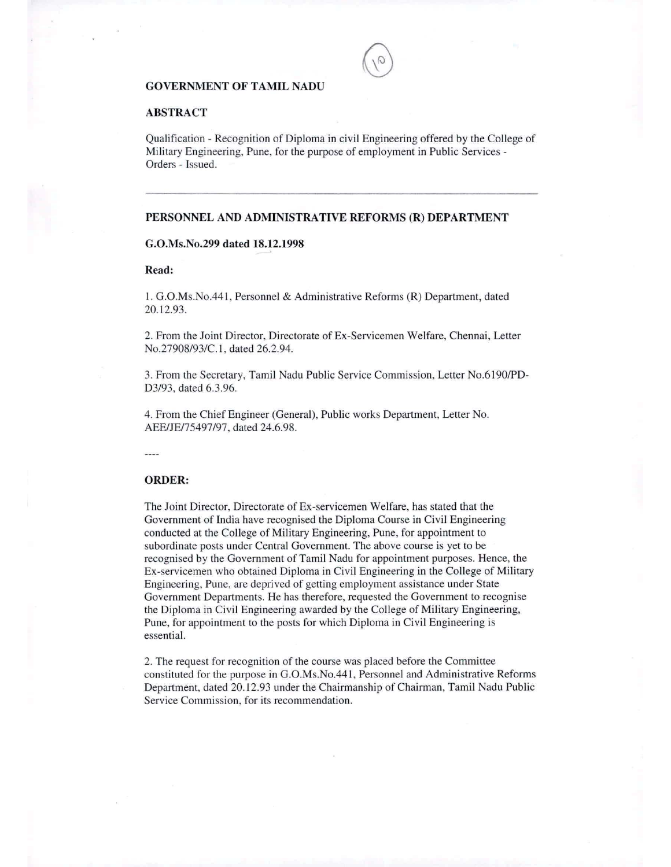## GOVERNMENT OF TAMIL NADU

### ABSTRACT

Qualification - Recognition of Diploma in civil Engineering offered by the College of Military Engineering, Pune, for the purpose of employment in Public Services - Orders - Issued.

## PERSONNEL AND ADMINISTRATIVE REFORMS (R) DEPARTMENT

## G.O.Ms.No.299 dated 18.12.1998

## Read:

I. G.O.Ms.No.441, Personnel & Administrative Reforms (R) Department, dated 20.12.93.

2. From the Joint Director. Directorate of Ex-Servicemen Welfare. Chennai, Letter No.27908/93/C.I, dated 26.2.94.

3. From the Secretary, Tamil Nadu Public Service Commission, Letter No.6190/PD-D3/93, dated 6.3.96.

4. From the Chief Engineer (General), Public works Department. Letter No. AEE/JE/75497/97, dated 24.6.98.

 $-$ 

#### ORDER:

The Joint Director. Directorate of Ex-servicemen Welfare. has stated that the Government of India have recognised the Diploma Course in Civil Engineering conducted at the College of Military Engineering, Pune. for appointment to subordinate posts under Central Government. The above course is yet to be recognised by the Government of Tamil Nadu for appointment purposes. Hence. the Ex-servicemen who obtained Diploma in Civil Engineering in the College of Military Engineering, Pune, are deprived of getting employment assistance under State Government Departments. He has therefore, requested the Government to recognise the Diploma in Civil Engineering awarded by the College of Military Engineering, Pune. for appointment to the posts for which Diploma in Civil Engineering is essential.

2. The request for recognition of the course was placed before the Committee constituted for the purpose in G.O.Ms.No.44I, Personnel and Administrative Reforms Department. dated 20.12.93 under the Chairmanship of Chairman, Tamil Nadu Public Service Commission. for its recommendation.